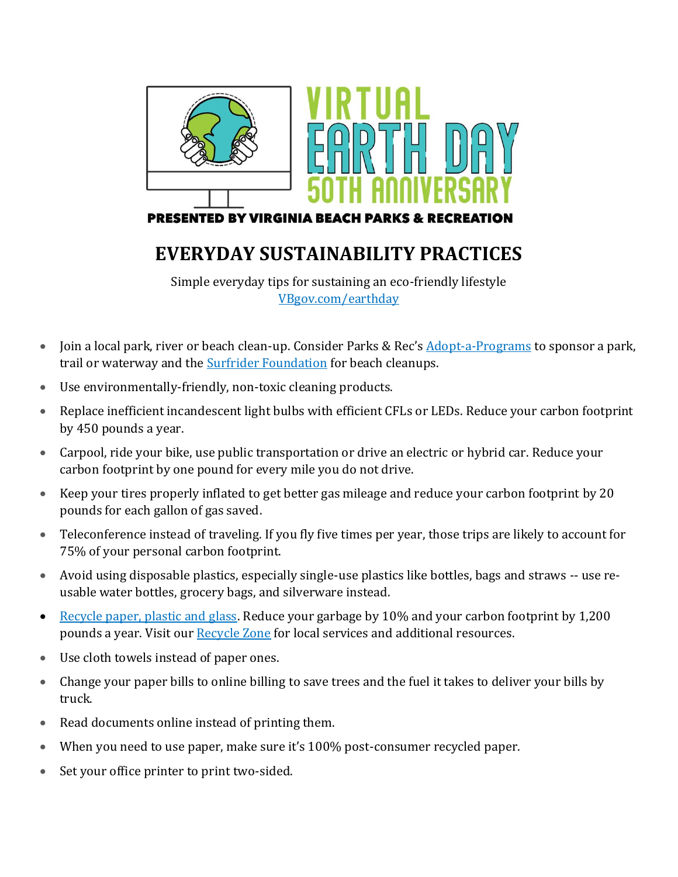

## **EVERYDAY SUSTAINABILITY PRACTICES**

Simple everyday tips for sustaining an eco-friendly lifestyle [VBgov.com/earthday](https://www.vbgov.com/government/departments/parks-recreation/special-events/Pages/earth-day.aspx)

- Join a local park, river or beach clean-up. Consider Parks & Rec's **[Adopt-a-Programs](https://www.vbgov.com/government/departments/parks-recreation/parks-trails/caring-for-our-parks/Pages/adopt-a-programs.aspx)** to sponsor a park, trail or waterway and the [Surfrider Foundation](https://cleanups.surfrider.org/) for beach cleanups.
- Use environmentally-friendly, non-toxic cleaning products.
- Replace inefficient incandescent light bulbs with efficient CFLs or LEDs. Reduce your carbon footprint by 450 pounds a year.
- Carpool, ride your bike, use public transportation or drive an electric or hybrid car. Reduce your carbon footprint by one pound for every mile you do not drive.
- Keep your tires properly inflated to get better gas mileage and reduce your carbon footprint by 20 pounds for each gallon of gas saved.
- Teleconference instead of traveling. If you fly five times per year, those trips are likely to account for 75% of your personal carbon footprint.
- Avoid using disposable plastics, especially single-use plastics like bottles, bags and straws -- use reusable water bottles, grocery bags, and silverware instead.
- [Recycle paper, plastic and glass.](https://www.parentgiving.com/elder-care/reduce-reuse-recycle/) Reduce your garbage by 10% and your carbon footprint by 1,200 pounds a year. Visit ou[r Recycle Zone](https://www.vbgov.com/government/departments/parks-recreation/special-events/Pages/earth-day.aspx#tab=recycle%20zone) for local services and additional resources.
- Use cloth towels instead of paper ones.
- Change your paper bills to online billing to save trees and the fuel it takes to deliver your bills by truck.
- Read documents online instead of printing them.
- When you need to use paper, make sure it's 100% post-consumer recycled paper.
- Set your office printer to print two-sided.